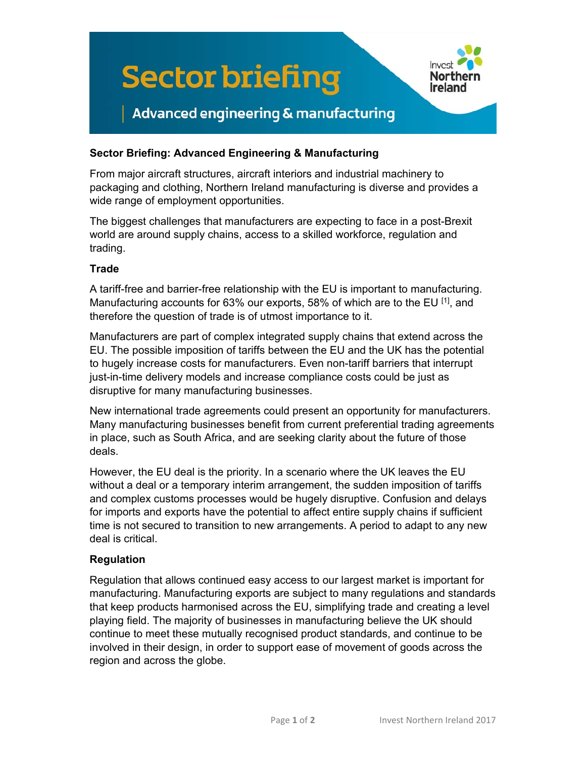

## **Sector Briefing: Advanced Engineering & Manufacturing**

From major aircraft structures, aircraft interiors and industrial machinery to packaging and clothing, Northern Ireland manufacturing is diverse and provides a wide range of employment opportunities.

The biggest challenges that manufacturers are expecting to face in a post-Brexit world are around supply chains, access to a skilled workforce, regulation and trading.

### **Trade**

A tariff-free and barrier-free relationship with the EU is important to manufacturing. Manufacturing accounts for 63% our exports, 58% of which are to the EU  $^{[1]}$ , and therefore the question of trade is of utmost importance to it.

Manufacturers are part of complex integrated supply chains that extend across the EU. The possible imposition of tariffs between the EU and the UK has the potential to hugely increase costs for manufacturers. Even non-tariff barriers that interrupt just-in-time delivery models and increase compliance costs could be just as disruptive for many manufacturing businesses.

New international trade agreements could present an opportunity for manufacturers. Many manufacturing businesses benefit from current preferential trading agreements in place, such as South Africa, and are seeking clarity about the future of those deals.

However, the EU deal is the priority. In a scenario where the UK leaves the EU without a deal or a temporary interim arrangement, the sudden imposition of tariffs and complex customs processes would be hugely disruptive. Confusion and delays for imports and exports have the potential to affect entire supply chains if sufficient time is not secured to transition to new arrangements. A period to adapt to any new deal is critical.

### **Regulation**

Regulation that allows continued easy access to our largest market is important for manufacturing. Manufacturing exports are subject to many regulations and standards that keep products harmonised across the EU, simplifying trade and creating a level playing field. The majority of businesses in manufacturing believe the UK should continue to meet these mutually recognised product standards, and continue to be involved in their design, in order to support ease of movement of goods across the region and across the globe.